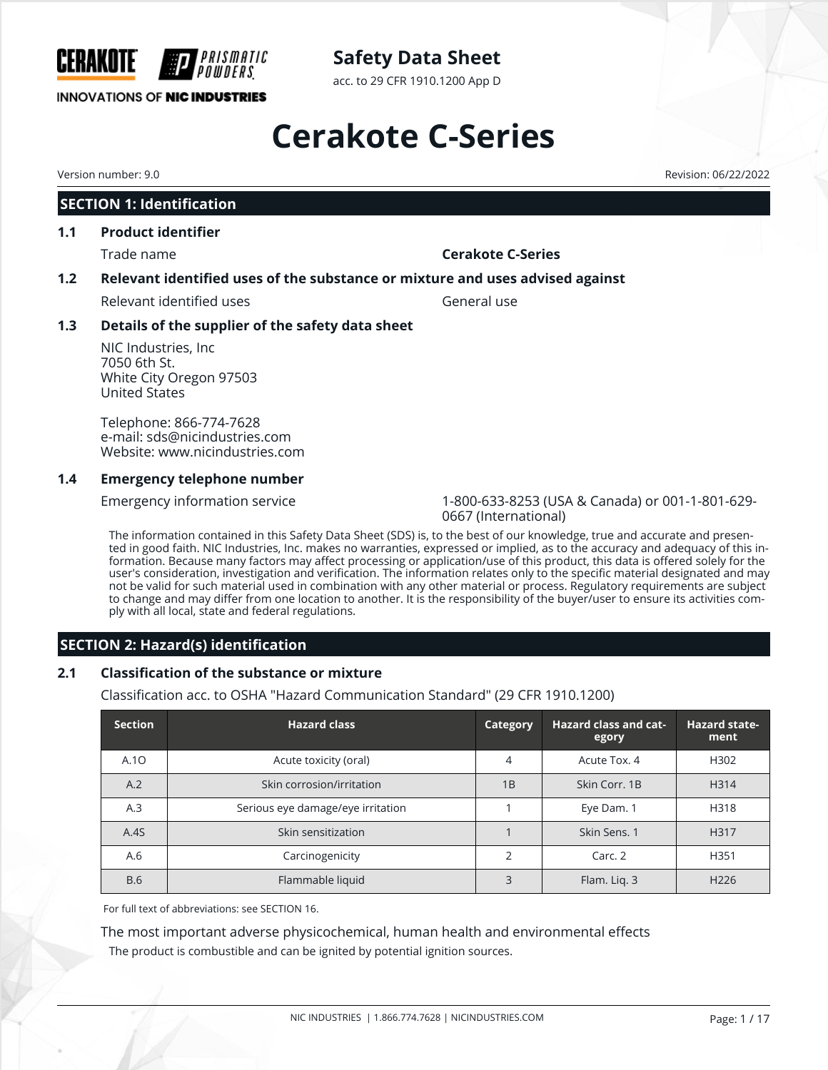

**INNOVATIONS OF NIC INDUSTRIES** 

# **Safety Data Sheet**

acc. to 29 CFR 1910.1200 App D

# **Cerakote C-Series**

## **SECTION 1: Identification**

#### **1.1 Product identifier**

## Trade name **Cerakote C-Series**

### **1.2 Relevant identified uses of the substance or mixture and uses advised against**

Relevant identified uses General use

### **1.3 Details of the supplier of the safety data sheet**

NIC Industries, Inc 7050 6th St. White City Oregon 97503 United States

Telephone: 866-774-7628 e-mail: sds@nicindustries.com Website: www.nicindustries.com

### **1.4 Emergency telephone number**

Emergency information service 1-800-633-8253 (USA & Canada) or 001-1-801-629- 0667 (International)

The information contained in this Safety Data Sheet (SDS) is, to the best of our knowledge, true and accurate and presented in good faith. NIC Industries, Inc. makes no warranties, expressed or implied, as to the accuracy and adequacy of this information. Because many factors may affect processing or application/use of this product, this data is offered solely for the user's consideration, investigation and verification. The information relates only to the specific material designated and may not be valid for such material used in combination with any other material or process. Regulatory requirements are subject to change and may differ from one location to another. It is the responsibility of the buyer/user to ensure its activities comply with all local, state and federal regulations.

## **SECTION 2: Hazard(s) identification**

## **2.1 Classification of the substance or mixture**

Classification acc. to OSHA "Hazard Communication Standard" (29 CFR 1910.1200)

| <b>Section</b> | <b>Hazard class</b>               | Category | <b>Hazard class and cat-</b><br>egory | <b>Hazard state-</b><br>ment |
|----------------|-----------------------------------|----------|---------------------------------------|------------------------------|
| A.10           | Acute toxicity (oral)             | 4        | Acute Tox. 4                          | H302                         |
| A.2            | Skin corrosion/irritation         | 1B       | Skin Corr, 1B                         | H <sub>3</sub> 14            |
| A.3            | Serious eye damage/eye irritation |          | Eye Dam. 1                            | H318                         |
| A.4S           | Skin sensitization                |          | Skin Sens. 1                          | H317                         |
| A.6            | Carcinogenicity                   | フ        | Carc. 2                               | H351                         |
| <b>B.6</b>     | Flammable liquid                  | 3        | Flam. Liq. 3                          | H <sub>226</sub>             |

For full text of abbreviations: see SECTION 16.

The most important adverse physicochemical, human health and environmental effects The product is combustible and can be ignited by potential ignition sources.

Version number: 9.0 Revision: 06/22/2022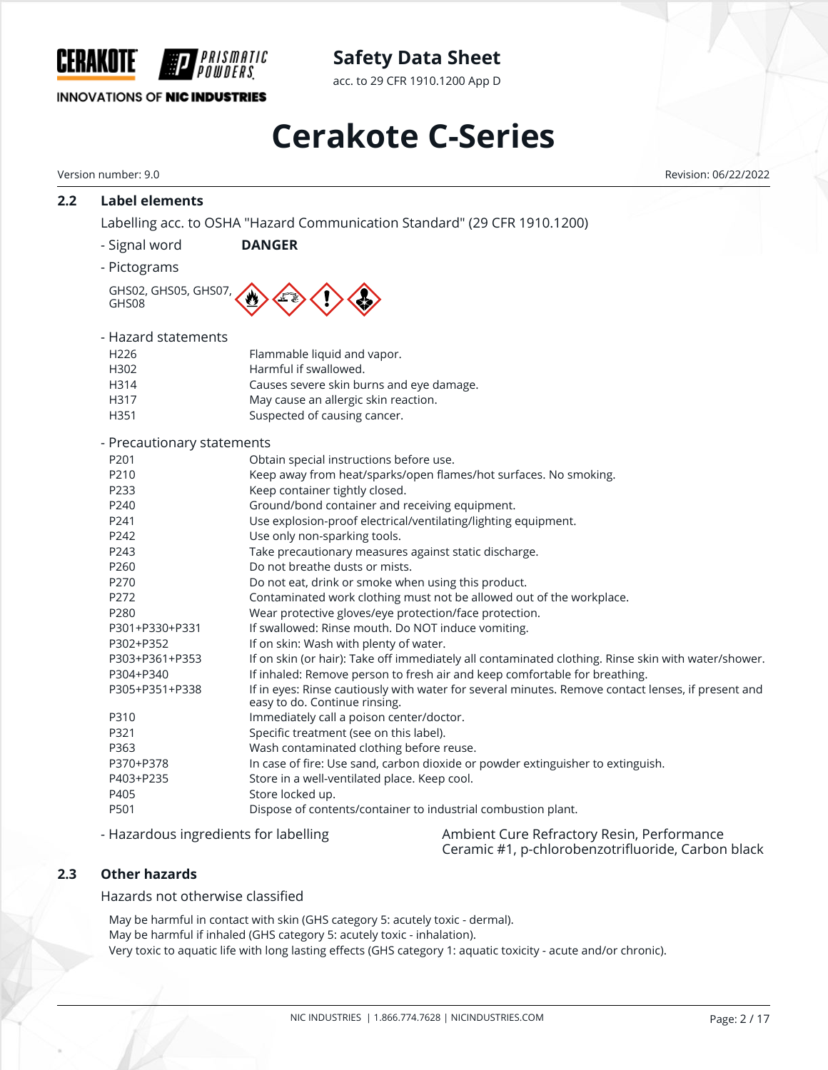

acc. to 29 CFR 1910.1200 App D

## **INNOVATIONS OF NIC INDUSTRIES**

# **Cerakote C-Series**

|     | Version number: 9.0                   | Revision: 06/22/2022                                                                                                                                                                                                                                                        |  |  |  |  |  |
|-----|---------------------------------------|-----------------------------------------------------------------------------------------------------------------------------------------------------------------------------------------------------------------------------------------------------------------------------|--|--|--|--|--|
| 2.2 | <b>Label elements</b>                 |                                                                                                                                                                                                                                                                             |  |  |  |  |  |
|     |                                       | Labelling acc. to OSHA "Hazard Communication Standard" (29 CFR 1910.1200)                                                                                                                                                                                                   |  |  |  |  |  |
|     | - Signal word                         | <b>DANGER</b>                                                                                                                                                                                                                                                               |  |  |  |  |  |
|     | - Pictograms                          |                                                                                                                                                                                                                                                                             |  |  |  |  |  |
|     | GHS02, GHS05, GHS07,<br>GHS08         |                                                                                                                                                                                                                                                                             |  |  |  |  |  |
|     | - Hazard statements                   |                                                                                                                                                                                                                                                                             |  |  |  |  |  |
|     | H <sub>226</sub>                      | Flammable liquid and vapor.                                                                                                                                                                                                                                                 |  |  |  |  |  |
|     | H302                                  | Harmful if swallowed.                                                                                                                                                                                                                                                       |  |  |  |  |  |
|     | H314                                  | Causes severe skin burns and eye damage.                                                                                                                                                                                                                                    |  |  |  |  |  |
|     | H317                                  | May cause an allergic skin reaction.                                                                                                                                                                                                                                        |  |  |  |  |  |
|     | H351                                  | Suspected of causing cancer.                                                                                                                                                                                                                                                |  |  |  |  |  |
|     | - Precautionary statements            |                                                                                                                                                                                                                                                                             |  |  |  |  |  |
|     | P201                                  | Obtain special instructions before use.                                                                                                                                                                                                                                     |  |  |  |  |  |
|     | P210                                  | Keep away from heat/sparks/open flames/hot surfaces. No smoking.                                                                                                                                                                                                            |  |  |  |  |  |
|     | P233                                  | Keep container tightly closed.                                                                                                                                                                                                                                              |  |  |  |  |  |
|     | P240                                  | Ground/bond container and receiving equipment.                                                                                                                                                                                                                              |  |  |  |  |  |
|     | P241                                  | Use explosion-proof electrical/ventilating/lighting equipment.                                                                                                                                                                                                              |  |  |  |  |  |
|     | P242                                  | Use only non-sparking tools.                                                                                                                                                                                                                                                |  |  |  |  |  |
|     |                                       |                                                                                                                                                                                                                                                                             |  |  |  |  |  |
|     | P243                                  | Take precautionary measures against static discharge.                                                                                                                                                                                                                       |  |  |  |  |  |
|     | P260                                  | Do not breathe dusts or mists.                                                                                                                                                                                                                                              |  |  |  |  |  |
|     | P270                                  | Do not eat, drink or smoke when using this product.                                                                                                                                                                                                                         |  |  |  |  |  |
|     | P272                                  | Contaminated work clothing must not be allowed out of the workplace.                                                                                                                                                                                                        |  |  |  |  |  |
|     | P280                                  | Wear protective gloves/eye protection/face protection.                                                                                                                                                                                                                      |  |  |  |  |  |
|     | P301+P330+P331                        | If swallowed: Rinse mouth. Do NOT induce vomiting.                                                                                                                                                                                                                          |  |  |  |  |  |
|     | P302+P352                             | If on skin: Wash with plenty of water.                                                                                                                                                                                                                                      |  |  |  |  |  |
|     | P303+P361+P353                        | If on skin (or hair): Take off immediately all contaminated clothing. Rinse skin with water/shower.                                                                                                                                                                         |  |  |  |  |  |
|     | P304+P340                             | If inhaled: Remove person to fresh air and keep comfortable for breathing.                                                                                                                                                                                                  |  |  |  |  |  |
|     | P305+P351+P338                        | If in eyes: Rinse cautiously with water for several minutes. Remove contact lenses, if present and<br>easy to do. Continue rinsing.                                                                                                                                         |  |  |  |  |  |
|     | P310                                  | Immediately call a poison center/doctor.                                                                                                                                                                                                                                    |  |  |  |  |  |
|     | P321                                  | Specific treatment (see on this label).                                                                                                                                                                                                                                     |  |  |  |  |  |
|     | P363                                  | Wash contaminated clothing before reuse.                                                                                                                                                                                                                                    |  |  |  |  |  |
|     | P370+P378                             | In case of fire: Use sand, carbon dioxide or powder extinguisher to extinguish.                                                                                                                                                                                             |  |  |  |  |  |
|     | P403+P235                             | Store in a well-ventilated place. Keep cool.                                                                                                                                                                                                                                |  |  |  |  |  |
|     | P405                                  | Store locked up.                                                                                                                                                                                                                                                            |  |  |  |  |  |
|     | P501                                  | Dispose of contents/container to industrial combustion plant.                                                                                                                                                                                                               |  |  |  |  |  |
|     | - Hazardous ingredients for labelling | Ambient Cure Refractory Resin, Performance<br>Ceramic #1, p-chlorobenzotrifluoride, Carbon black                                                                                                                                                                            |  |  |  |  |  |
| 2.3 | <b>Other hazards</b>                  |                                                                                                                                                                                                                                                                             |  |  |  |  |  |
|     | Hazards not otherwise classified      |                                                                                                                                                                                                                                                                             |  |  |  |  |  |
|     |                                       |                                                                                                                                                                                                                                                                             |  |  |  |  |  |
|     |                                       | May be harmful in contact with skin (GHS category 5: acutely toxic - dermal).<br>May be harmful if inhaled (GHS category 5: acutely toxic - inhalation).<br>Very toxic to aquatic life with long lasting effects (GHS category 1: aquatic toxicity - acute and/or chronic). |  |  |  |  |  |
|     |                                       |                                                                                                                                                                                                                                                                             |  |  |  |  |  |
|     |                                       | NIC INDUSTRIES   1.866.774.7628   NICINDUSTRIES.COM<br>Page: 2 / 17                                                                                                                                                                                                         |  |  |  |  |  |
|     |                                       |                                                                                                                                                                                                                                                                             |  |  |  |  |  |
|     |                                       |                                                                                                                                                                                                                                                                             |  |  |  |  |  |
|     |                                       |                                                                                                                                                                                                                                                                             |  |  |  |  |  |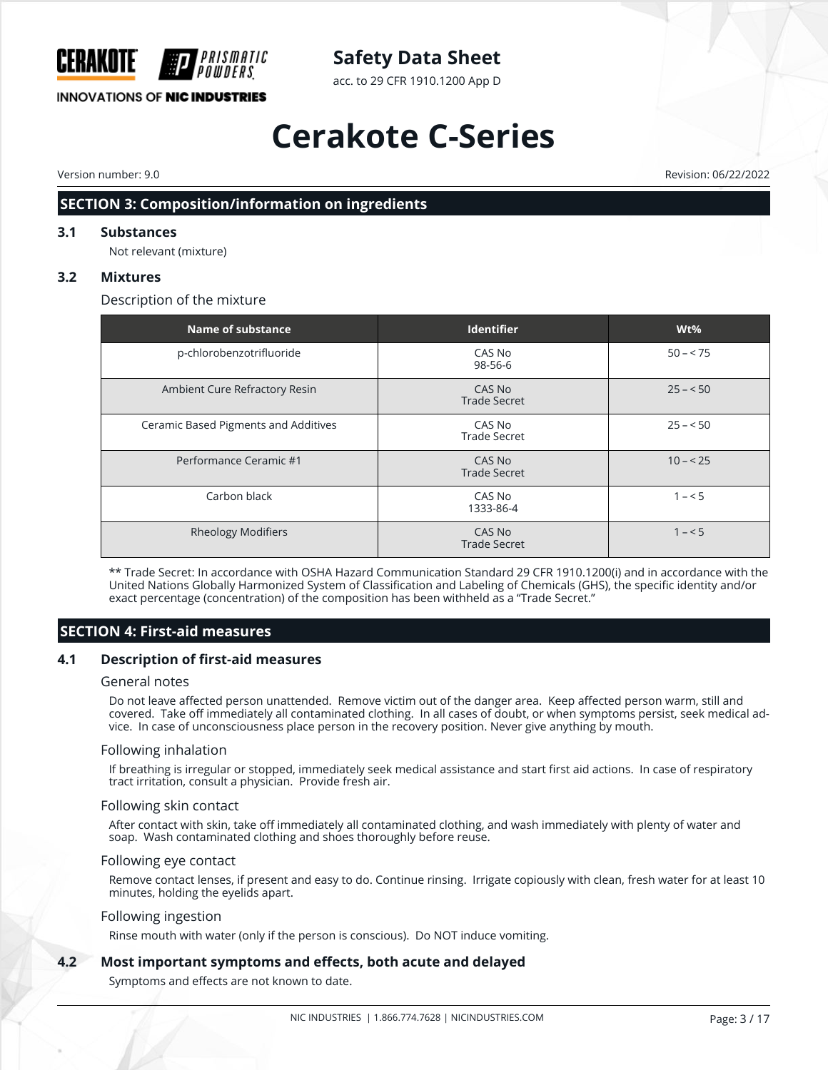

acc. to 29 CFR 1910.1200 App D

# **Cerakote C-Series**

Version number: 9.0 Revision: 06/22/2022

## **SECTION 3: Composition/information on ingredients**

#### **3.1 Substances**

Not relevant (mixture)

#### **3.2 Mixtures**

Description of the mixture

| Name of substance                    | <b>Identifier</b>             | $Wt\%$    |
|--------------------------------------|-------------------------------|-----------|
| p-chlorobenzotrifluoride             | CAS No<br>98-56-6             | $50 - 75$ |
| Ambient Cure Refractory Resin        | CAS No<br><b>Trade Secret</b> | $25 - 50$ |
| Ceramic Based Pigments and Additives | CAS No<br><b>Trade Secret</b> | $25 - 50$ |
| Performance Ceramic #1               | CAS No<br><b>Trade Secret</b> | $10 - 25$ |
| Carbon black                         | CAS No<br>1333-86-4           | $1 - 5$   |
| <b>Rheology Modifiers</b>            | CAS No<br><b>Trade Secret</b> | $1 - 5$   |

\*\* Trade Secret: In accordance with OSHA Hazard Communication Standard 29 CFR 1910.1200(i) and in accordance with the United Nations Globally Harmonized System of Classification and Labeling of Chemicals (GHS), the specific identity and/or exact percentage (concentration) of the composition has been withheld as a "Trade Secret."

## **SECTION 4: First-aid measures**

#### **4.1 Description of first-aid measures**

#### General notes

Do not leave affected person unattended. Remove victim out of the danger area. Keep affected person warm, still and covered. Take off immediately all contaminated clothing. In all cases of doubt, or when symptoms persist, seek medical advice. In case of unconsciousness place person in the recovery position. Never give anything by mouth.

#### Following inhalation

If breathing is irregular or stopped, immediately seek medical assistance and start first aid actions. In case of respiratory tract irritation, consult a physician. Provide fresh air.

#### Following skin contact

After contact with skin, take off immediately all contaminated clothing, and wash immediately with plenty of water and soap. Wash contaminated clothing and shoes thoroughly before reuse.

#### Following eye contact

Remove contact lenses, if present and easy to do. Continue rinsing. Irrigate copiously with clean, fresh water for at least 10 minutes, holding the eyelids apart.

#### Following ingestion

Rinse mouth with water (only if the person is conscious). Do NOT induce vomiting.

#### **4.2 Most important symptoms and effects, both acute and delayed**

Symptoms and effects are not known to date.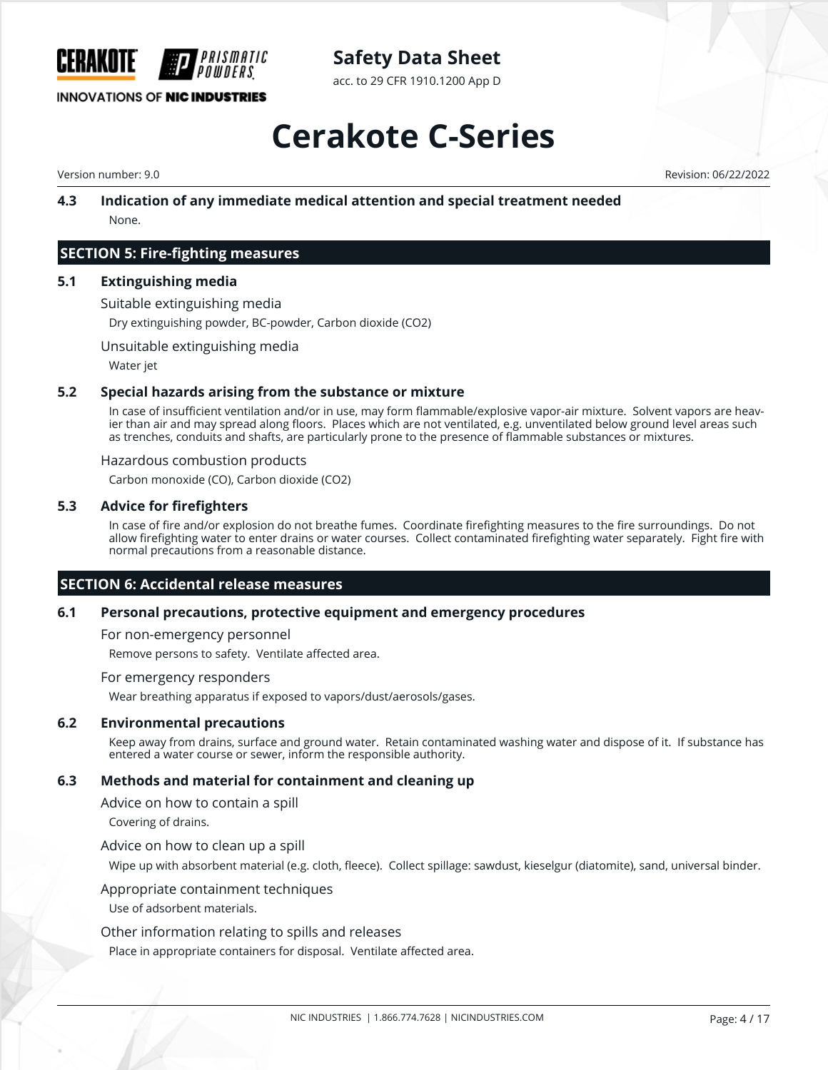

acc. to 29 CFR 1910.1200 App D

# **Cerakote C-Series**

Version number: 9.0 Revision: 06/22/2022

#### **4.3 Indication of any immediate medical attention and special treatment needed** None.

### **SECTION 5: Fire-fighting measures**

#### **5.1 Extinguishing media**

Suitable extinguishing media

Dry extinguishing powder, BC-powder, Carbon dioxide (CO2)

Unsuitable extinguishing media

Water jet

#### **5.2 Special hazards arising from the substance or mixture**

In case of insufficient ventilation and/or in use, may form flammable/explosive vapor-air mixture. Solvent vapors are heavier than air and may spread along floors. Places which are not ventilated, e.g. unventilated below ground level areas such as trenches, conduits and shafts, are particularly prone to the presence of flammable substances or mixtures.

#### Hazardous combustion products

Carbon monoxide (CO), Carbon dioxide (CO2)

#### **5.3 Advice for firefighters**

In case of fire and/or explosion do not breathe fumes. Coordinate firefighting measures to the fire surroundings. Do not allow firefighting water to enter drains or water courses. Collect contaminated firefighting water separately. Fight fire with normal precautions from a reasonable distance.

#### **SECTION 6: Accidental release measures**

#### **6.1 Personal precautions, protective equipment and emergency procedures**

For non-emergency personnel

Remove persons to safety. Ventilate affected area.

#### For emergency responders

Wear breathing apparatus if exposed to vapors/dust/aerosols/gases.

#### **6.2 Environmental precautions**

Keep away from drains, surface and ground water. Retain contaminated washing water and dispose of it. If substance has entered a water course or sewer, inform the responsible authority.

#### **6.3 Methods and material for containment and cleaning up**

Advice on how to contain a spill

Covering of drains.

Advice on how to clean up a spill

Wipe up with absorbent material (e.g. cloth, fleece). Collect spillage: sawdust, kieselgur (diatomite), sand, universal binder.

#### Appropriate containment techniques

Use of adsorbent materials.

#### Other information relating to spills and releases

Place in appropriate containers for disposal. Ventilate affected area.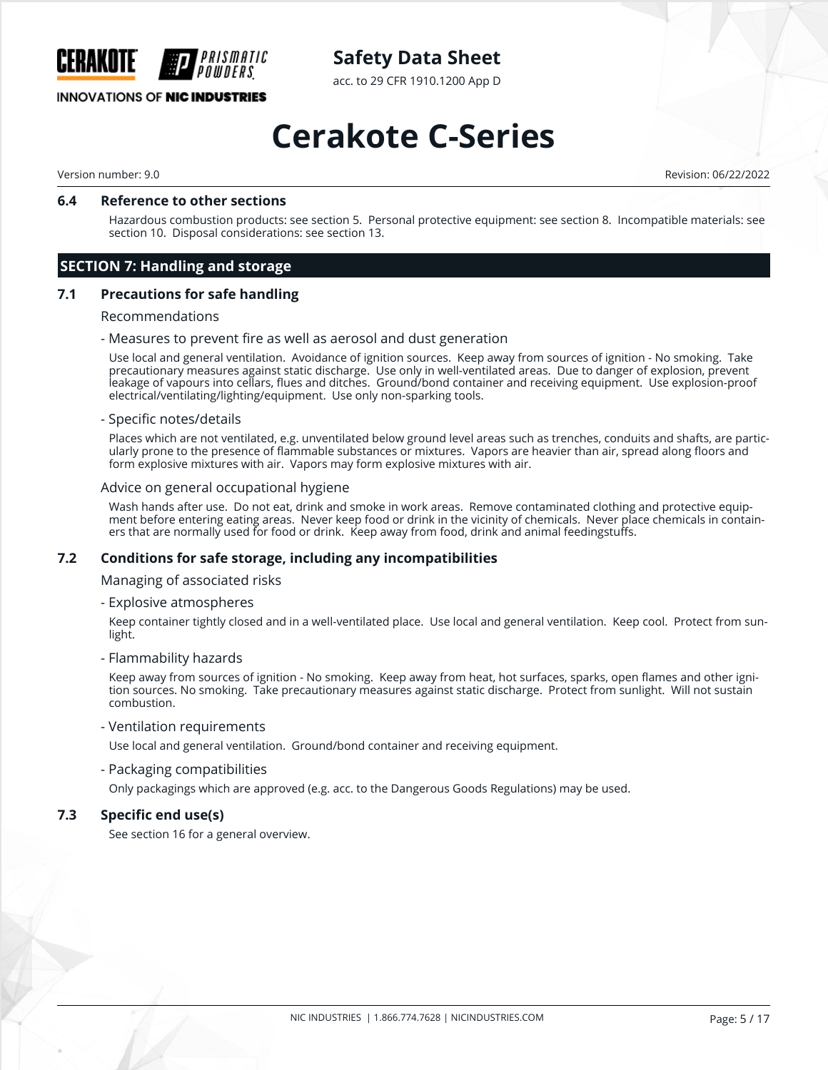

acc. to 29 CFR 1910.1200 App D

## **INNOVATIONS OF NIC INDUSTRIES**

# **Cerakote C-Series**

Version number: 9.0 Revision: 06/22/2022

#### **6.4 Reference to other sections**

Hazardous combustion products: see section 5. Personal protective equipment: see section 8. Incompatible materials: see section 10. Disposal considerations: see section 13.

## **SECTION 7: Handling and storage**

#### **7.1 Precautions for safe handling**

#### Recommendations

- Measures to prevent fire as well as aerosol and dust generation

Use local and general ventilation. Avoidance of ignition sources. Keep away from sources of ignition - No smoking. Take precautionary measures against static discharge. Use only in well-ventilated areas. Due to danger of explosion, prevent leakage of vapours into cellars, flues and ditches. Ground/bond container and receiving equipment. Use explosion-proof electrical/ventilating/lighting/equipment. Use only non-sparking tools.

#### - Specific notes/details

Places which are not ventilated, e.g. unventilated below ground level areas such as trenches, conduits and shafts, are particularly prone to the presence of flammable substances or mixtures. Vapors are heavier than air, spread along floors and form explosive mixtures with air. Vapors may form explosive mixtures with air.

#### Advice on general occupational hygiene

Wash hands after use. Do not eat, drink and smoke in work areas. Remove contaminated clothing and protective equipment before entering eating areas. Never keep food or drink in the vicinity of chemicals. Never place chemicals in containers that are normally used for food or drink. Keep away from food, drink and animal feedingstuffs.

#### **7.2 Conditions for safe storage, including any incompatibilities**

Managing of associated risks

- Explosive atmospheres

Keep container tightly closed and in a well-ventilated place. Use local and general ventilation. Keep cool. Protect from sunlight.

- Flammability hazards

Keep away from sources of ignition - No smoking. Keep away from heat, hot surfaces, sparks, open flames and other ignition sources. No smoking. Take precautionary measures against static discharge. Protect from sunlight. Will not sustain combustion.

- Ventilation requirements

Use local and general ventilation. Ground/bond container and receiving equipment.

- Packaging compatibilities

Only packagings which are approved (e.g. acc. to the Dangerous Goods Regulations) may be used.

#### **7.3 Specific end use(s)**

See section 16 for a general overview.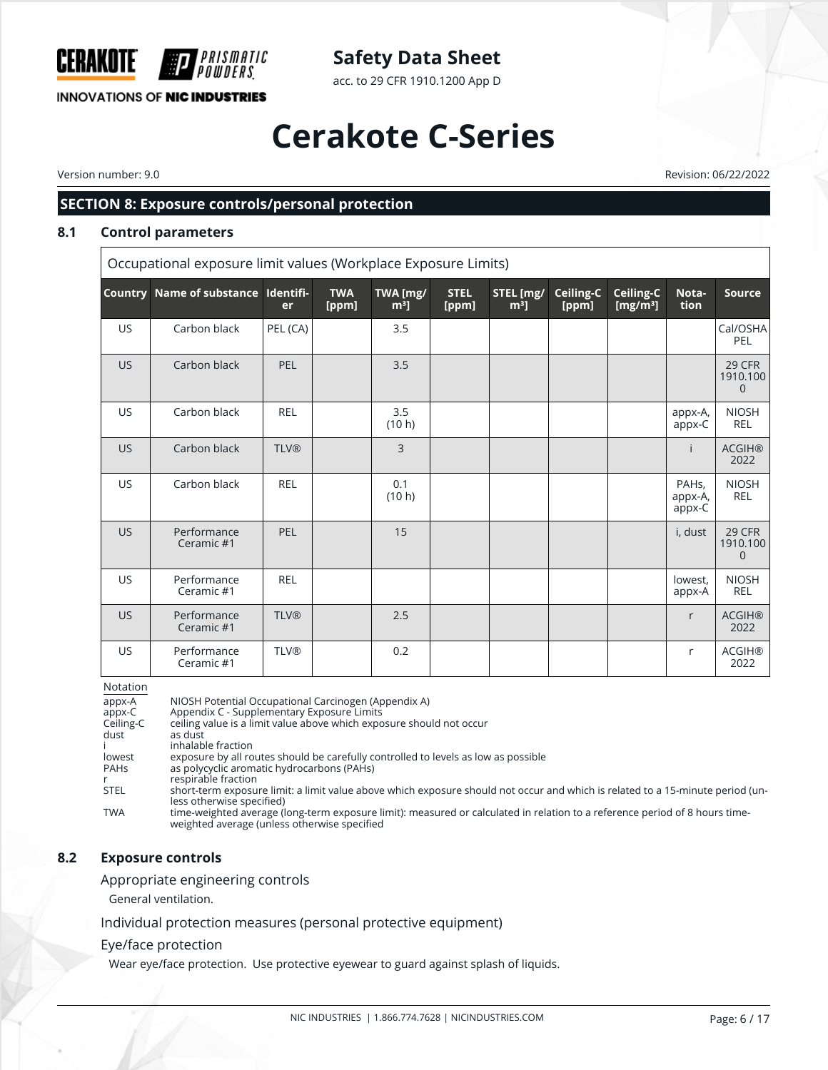

acc. to 29 CFR 1910.1200 App D

# **Cerakote C-Series**

Version number: 9.0 Revision: 06/22/2022

## **SECTION 8: Exposure controls/personal protection**

### **8.1 Control parameters**

Occupational exposure limit values (Workplace Exposure Limits)

|           | Country Name of substance Identifi- | er          | <b>TWA</b><br>[ppm] | TWA [mg/<br>m <sup>3</sup> | <b>STEL</b><br>[ppm] | STEL [mg/<br>$m3$ ] | Ceiling-C<br>[ppm] | Ceiling-C<br>[ $mg/m3$ ] | Nota-<br>tion                           | <b>Source</b>                               |
|-----------|-------------------------------------|-------------|---------------------|----------------------------|----------------------|---------------------|--------------------|--------------------------|-----------------------------------------|---------------------------------------------|
| <b>US</b> | Carbon black                        | PEL (CA)    |                     | 3.5                        |                      |                     |                    |                          |                                         | Cal/OSHA<br>PEL                             |
| US.       | Carbon black                        | PEL         |                     | 3.5                        |                      |                     |                    |                          |                                         | <b>29 CFR</b><br>1910.100<br>$\overline{0}$ |
| <b>US</b> | Carbon black                        | <b>REL</b>  |                     | 3.5<br>(10 h)              |                      |                     |                    |                          | appx-A,<br>appx-C                       | <b>NIOSH</b><br>REL                         |
| <b>US</b> | Carbon black                        | <b>TLV®</b> |                     | $\overline{3}$             |                      |                     |                    |                          | i.                                      | <b>ACGIH®</b><br>2022                       |
| <b>US</b> | Carbon black                        | <b>REL</b>  |                     | 0.1<br>(10 h)              |                      |                     |                    |                          | PAH <sub>s</sub> ,<br>appx-A,<br>appx-C | <b>NIOSH</b><br>REL                         |
| <b>US</b> | Performance<br>Ceramic #1           | PEL         |                     | 15                         |                      |                     |                    |                          | i, dust                                 | 29 CFR<br>1910.100<br>$\mathbf 0$           |
| <b>US</b> | Performance<br>Ceramic #1           | <b>REL</b>  |                     |                            |                      |                     |                    |                          | lowest,<br>appx-A                       | <b>NIOSH</b><br>REL                         |
| <b>US</b> | Performance<br>Ceramic #1           | <b>TLV®</b> |                     | 2.5                        |                      |                     |                    |                          | r                                       | <b>ACGIH®</b><br>2022                       |
| <b>US</b> | Performance<br>Ceramic #1           | <b>TLV®</b> |                     | 0.2                        |                      |                     |                    |                          | $\mathsf{r}$                            | <b>ACGIH®</b><br>2022                       |

Notation

| <b>NOLALIOII</b> |                                                                                                                                                                             |
|------------------|-----------------------------------------------------------------------------------------------------------------------------------------------------------------------------|
| appx-A           | NIOSH Potential Occupational Carcinogen (Appendix A)                                                                                                                        |
| appx-C           | Appendix C - Supplementary Exposure Limits                                                                                                                                  |
| Ceiling-C        | ceiling value is a limit value above which exposure should not occur                                                                                                        |
| dust             | as dust                                                                                                                                                                     |
|                  | inhalable fraction                                                                                                                                                          |
| lowest           | exposure by all routes should be carefully controlled to levels as low as possible                                                                                          |
| <b>PAHs</b>      | as polycyclic aromatic hydrocarbons (PAHs)                                                                                                                                  |
|                  | respirable fraction                                                                                                                                                         |
| <b>STEL</b>      | short-term exposure limit: a limit value above which exposure should not occur and which is related to a 15-minute period (un-<br>less otherwise specified)                 |
| <b>TWA</b>       | time-weighted average (long-term exposure limit): measured or calculated in relation to a reference period of 8 hours time-<br>weighted average (unless otherwise specified |

#### **8.2 Exposure controls**

Appropriate engineering controls

General ventilation.

Individual protection measures (personal protective equipment)

#### Eye/face protection

Wear eye/face protection. Use protective eyewear to guard against splash of liquids.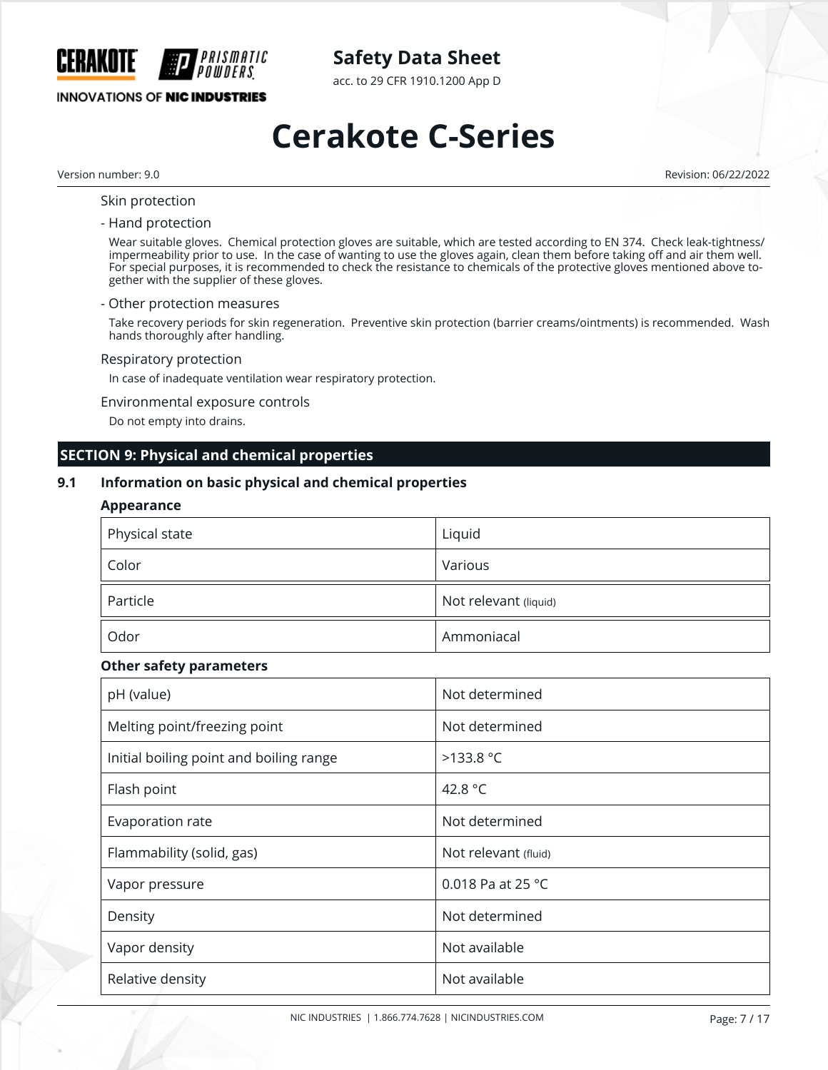

acc. to 29 CFR 1910.1200 App D

## **INNOVATIONS OF NIC INDUSTRIES**

# **Cerakote C-Series**

Version number: 9.0 Revision: 06/22/2022

#### Skin protection

#### - Hand protection

Wear suitable gloves. Chemical protection gloves are suitable, which are tested according to EN 374. Check leak-tightness/ impermeability prior to use. In the case of wanting to use the gloves again, clean them before taking off and air them well. For special purposes, it is recommended to check the resistance to chemicals of the protective gloves mentioned above together with the supplier of these gloves.

#### - Other protection measures

Take recovery periods for skin regeneration. Preventive skin protection (barrier creams/ointments) is recommended. Wash hands thoroughly after handling.

#### Respiratory protection

In case of inadequate ventilation wear respiratory protection.

#### Environmental exposure controls

Do not empty into drains.

#### **SECTION 9: Physical and chemical properties**

#### **9.1 Information on basic physical and chemical properties**

#### **Appearance**

| Physical state | Liquid                |
|----------------|-----------------------|
| Color          | Various               |
| Particle       | Not relevant (liquid) |
| Odor           | Ammoniacal            |

#### **Other safety parameters**

| pH (value)                              | Not determined       |
|-----------------------------------------|----------------------|
| Melting point/freezing point            | Not determined       |
| Initial boiling point and boiling range | $>133.8$ °C          |
| Flash point                             | 42.8 °C              |
| Evaporation rate                        | Not determined       |
| Flammability (solid, gas)               | Not relevant (fluid) |
| Vapor pressure                          | 0.018 Pa at 25 °C    |
| Density                                 | Not determined       |
| Vapor density                           | Not available        |
| Relative density                        | Not available        |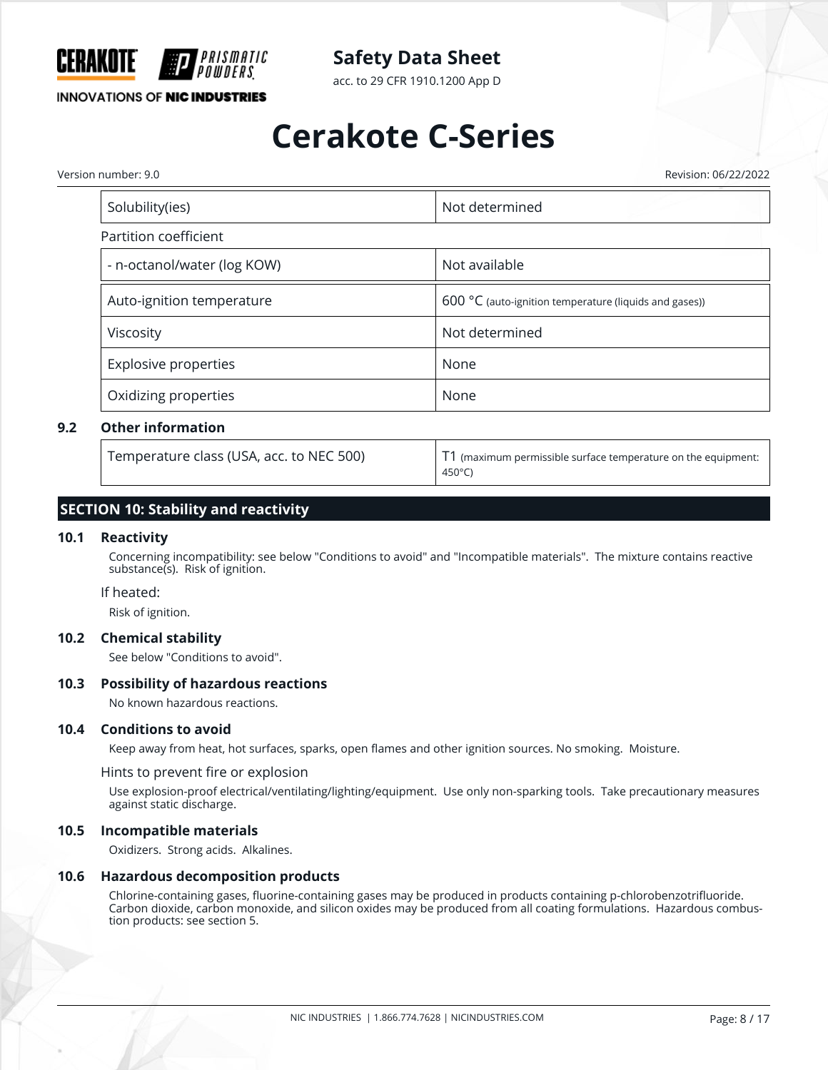

acc. to 29 CFR 1910.1200 App D

## **INNOVATIONS OF NIC INDUSTRIES**

# **Cerakote C-Series**

Version number: 9.0 Revision: 06/22/2022

| Not determined                                         |  |  |
|--------------------------------------------------------|--|--|
|                                                        |  |  |
| Not available                                          |  |  |
| 600 °C (auto-ignition temperature (liquids and gases)) |  |  |
| Not determined                                         |  |  |
| None                                                   |  |  |
| None                                                   |  |  |
|                                                        |  |  |

#### **9.2 Other information**

Temperature class (USA, acc. to NEC 500) T1 (maximum permissible surface temperature on the equipment: 450°C)

### **SECTION 10: Stability and reactivity**

#### **10.1 Reactivity**

Concerning incompatibility: see below "Conditions to avoid" and "Incompatible materials". The mixture contains reactive substance(s). Risk of ignition.

#### If heated:

Risk of ignition.

#### **10.2 Chemical stability**

See below "Conditions to avoid".

#### **10.3 Possibility of hazardous reactions**

No known hazardous reactions.

#### **10.4 Conditions to avoid**

Keep away from heat, hot surfaces, sparks, open flames and other ignition sources. No smoking. Moisture.

Hints to prevent fire or explosion

Use explosion-proof electrical/ventilating/lighting/equipment. Use only non-sparking tools. Take precautionary measures against static discharge.

#### **10.5 Incompatible materials**

Oxidizers. Strong acids. Alkalines.

#### **10.6 Hazardous decomposition products**

Chlorine-containing gases, fluorine-containing gases may be produced in products containing p-chlorobenzotrifluoride. Carbon dioxide, carbon monoxide, and silicon oxides may be produced from all coating formulations. Hazardous combustion products: see section 5.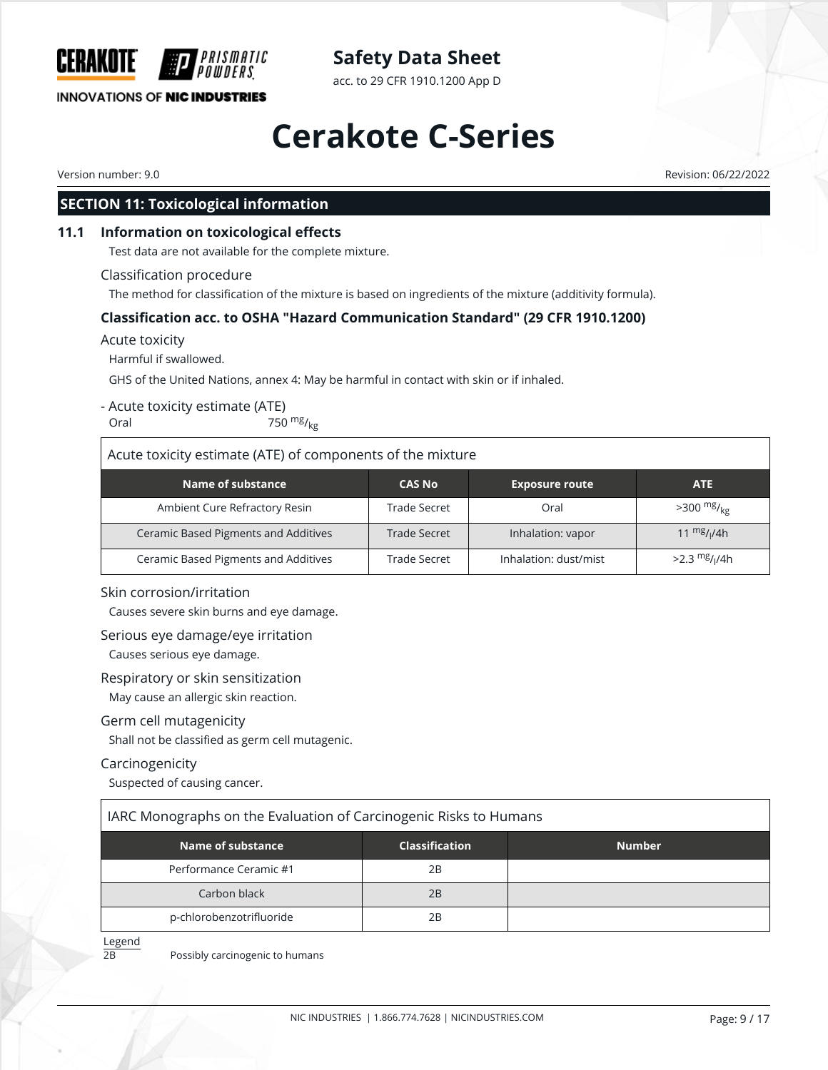

acc. to 29 CFR 1910.1200 App D

### **INNOVATIONS OF NIC INDUSTRIES**

# **Cerakote C-Series**

CERAKOTE

Version number: 9.0 Revision: 06/22/2022

### **SECTION 11: Toxicological information**

#### **11.1 Information on toxicological effects**

Test data are not available for the complete mixture.

*PRISMATIC* 

#### Classification procedure

The method for classification of the mixture is based on ingredients of the mixture (additivity formula).

#### **Classification acc. to OSHA "Hazard Communication Standard" (29 CFR 1910.1200)**

#### Acute toxicity

Harmful if swallowed.

GHS of the United Nations, annex 4: May be harmful in contact with skin or if inhaled.

#### - Acute toxicity estimate (ATE)

Oral  $750 \frac{mg}{kg}$ 

#### Acute toxicity estimate (ATE) of components of the mixture

| Name of substance                    | <b>CAS No</b> | <b>Exposure route</b> | <b>ATE</b>                  |
|--------------------------------------|---------------|-----------------------|-----------------------------|
| Ambient Cure Refractory Resin        | Trade Secret  | Oral                  | $>300 \frac{mg}{kg}$        |
| Ceramic Based Pigments and Additives | Trade Secret  | Inhalation: vapor     | 11 $\frac{mg}{l}$ //4h      |
| Ceramic Based Pigments and Additives | Trade Secret  | Inhalation: dust/mist | $>2.3$ mg/ <sub>I</sub> /4h |

#### Skin corrosion/irritation

Causes severe skin burns and eye damage.

#### Serious eye damage/eye irritation

Causes serious eye damage.

#### Respiratory or skin sensitization

May cause an allergic skin reaction.

#### Germ cell mutagenicity

Shall not be classified as germ cell mutagenic.

#### Carcinogenicity

Suspected of causing cancer.

|  | IARC Monographs on the Evaluation of Carcinogenic Risks to Humans |
|--|-------------------------------------------------------------------|
|  |                                                                   |

| Name of substance        | <b>Classification</b> | <b>Number</b> |
|--------------------------|-----------------------|---------------|
| Performance Ceramic #1   | 2B                    |               |
| Carbon black             | 2B                    |               |
| p-chlorobenzotrifluoride | 2B                    |               |

Legend

2B Possibly carcinogenic to humans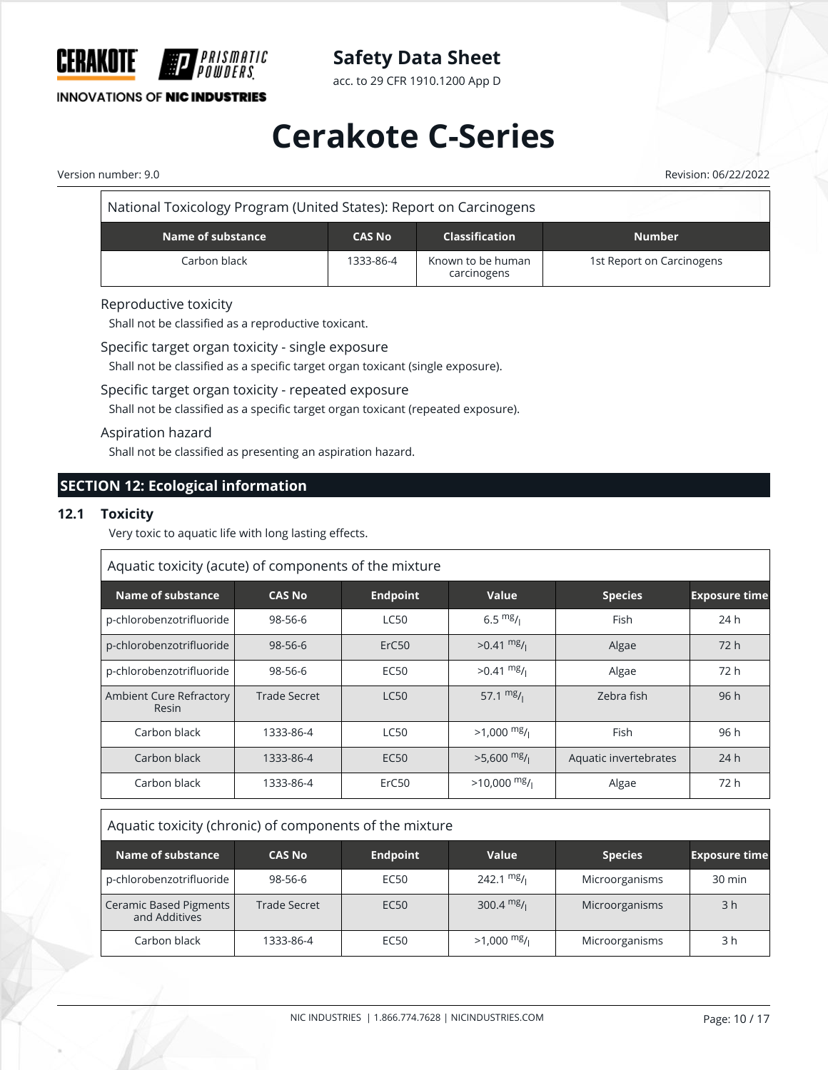

acc. to 29 CFR 1910.1200 App D

## **INNOVATIONS OF NIC INDUSTRIES**

# **Cerakote C-Series**

Version number: 9.0 Revision: 06/22/2022

| National Toxicology Program (United States): Report on Carcinogens |               |                                  |                           |
|--------------------------------------------------------------------|---------------|----------------------------------|---------------------------|
| Name of substance                                                  | <b>Number</b> |                                  |                           |
| Carbon black                                                       | 1333-86-4     | Known to be human<br>carcinogens | 1st Report on Carcinogens |

#### Reproductive toxicity

Shall not be classified as a reproductive toxicant.

Specific target organ toxicity - single exposure

Shall not be classified as a specific target organ toxicant (single exposure).

#### Specific target organ toxicity - repeated exposure

Shall not be classified as a specific target organ toxicant (repeated exposure).

#### Aspiration hazard

Shall not be classified as presenting an aspiration hazard.

### **SECTION 12: Ecological information**

#### **12.1 Toxicity**

Very toxic to aquatic life with long lasting effects.

| Aquatic toxicity (acute) of components of the mixture |               |                 |                      |                       |                      |
|-------------------------------------------------------|---------------|-----------------|----------------------|-----------------------|----------------------|
| Name of substance                                     | <b>CAS No</b> | <b>Endpoint</b> | Value                | <b>Species</b>        | <b>Exposure time</b> |
| p-chlorobenzotrifluoride                              | 98-56-6       | <b>LC50</b>     | $6.5 \frac{mg}{l}$   | Fish                  | 24 h                 |
| p-chlorobenzotrifluoride                              | $98 - 56 - 6$ | ErC50           | $>0.41 \frac{mg}{l}$ | Algae                 | 72h                  |
| p-chlorobenzotrifluoride                              | 98-56-6       | <b>EC50</b>     | $>0.41$ mg/          | Algae                 | 72 h                 |
| Ambient Cure Refractory<br>Resin                      | Trade Secret  | <b>LC50</b>     | 57.1 $mg/1$          | Zebra fish            | 96h                  |
| Carbon black                                          | 1333-86-4     | <b>LC50</b>     | $>1,000$ mg/         | Fish                  | 96 h                 |
| Carbon black                                          | 1333-86-4     | <b>EC50</b>     | $>5.600$ mg/         | Aquatic invertebrates | 24h                  |
| Carbon black                                          | 1333-86-4     | ErC50           | $>10,000$ mg/        | Algae                 | 72 h                 |

### Aquatic toxicity (chronic) of components of the mixture

| Name of substance                              | <b>CAS No</b>       | <b>Endpoint</b>  | Value                | <b>Species</b> | <b>Exposure time</b> |
|------------------------------------------------|---------------------|------------------|----------------------|----------------|----------------------|
| p-chlorobenzotrifluoride                       | 98-56-6             | EC50             | 242.1 $mg/1$         | Microorganisms | 30 min               |
| <b>Ceramic Based Pigments</b><br>and Additives | <b>Trade Secret</b> | EC <sub>50</sub> | $300.4 \text{ mg}$ / | Microorganisms | 3 <sub>h</sub>       |
| Carbon black                                   | 1333-86-4           | EC50             | $>1,000$ mg/         | Microorganisms | 3 h                  |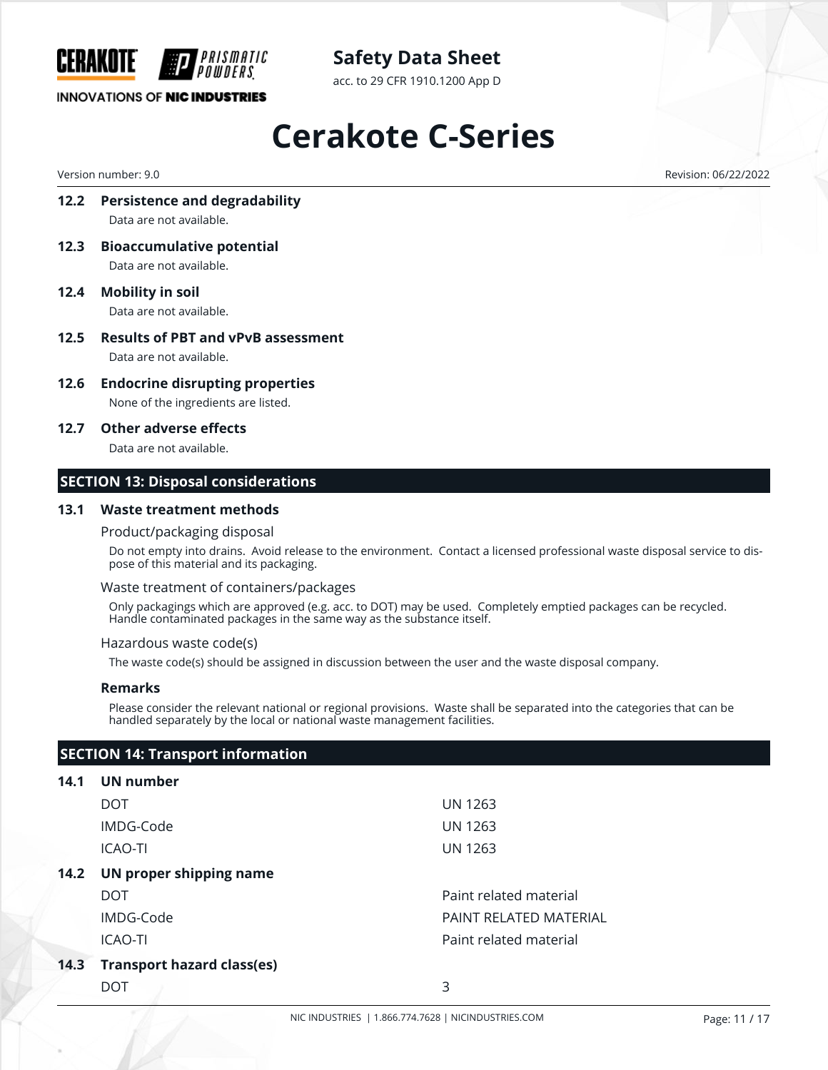

acc. to 29 CFR 1910.1200 App D

### **INNOVATIONS OF NIC INDUSTRIES**

# **Cerakote C-Series**

Version number: 9.0 Revision: 06/22/2022

- **12.2 Persistence and degradability** Data are not available.
- **12.3 Bioaccumulative potential** Data are not available.
- **12.4 Mobility in soil** Data are not available.
- **12.5 Results of PBT and vPvB assessment** Data are not available.
- **12.6 Endocrine disrupting properties** None of the ingredients are listed.
- **12.7 Other adverse effects**

Data are not available.

#### **SECTION 13: Disposal considerations**

#### **13.1 Waste treatment methods**

#### Product/packaging disposal

Do not empty into drains. Avoid release to the environment. Contact a licensed professional waste disposal service to dispose of this material and its packaging.

#### Waste treatment of containers/packages

Only packagings which are approved (e.g. acc. to DOT) may be used. Completely emptied packages can be recycled. Handle contaminated packages in the same way as the substance itself.

#### Hazardous waste code(s)

The waste code(s) should be assigned in discussion between the user and the waste disposal company.

#### **Remarks**

Please consider the relevant national or regional provisions. Waste shall be separated into the categories that can be handled separately by the local or national waste management facilities.

### **SECTION 14: Transport information**

#### **14.1 UN number**

|      | DOT                               | UN 1263                |
|------|-----------------------------------|------------------------|
|      | IMDG-Code                         | UN 1263                |
|      | <b>ICAO-TI</b>                    | <b>UN 1263</b>         |
| 14.2 | UN proper shipping name           |                        |
|      | <b>DOT</b>                        | Paint related material |
|      | IMDG-Code                         | PAINT RELATED MATERIAL |
|      | <b>ICAO-TI</b>                    | Paint related material |
| 14.3 | <b>Transport hazard class(es)</b> |                        |
|      | DOT                               | 3                      |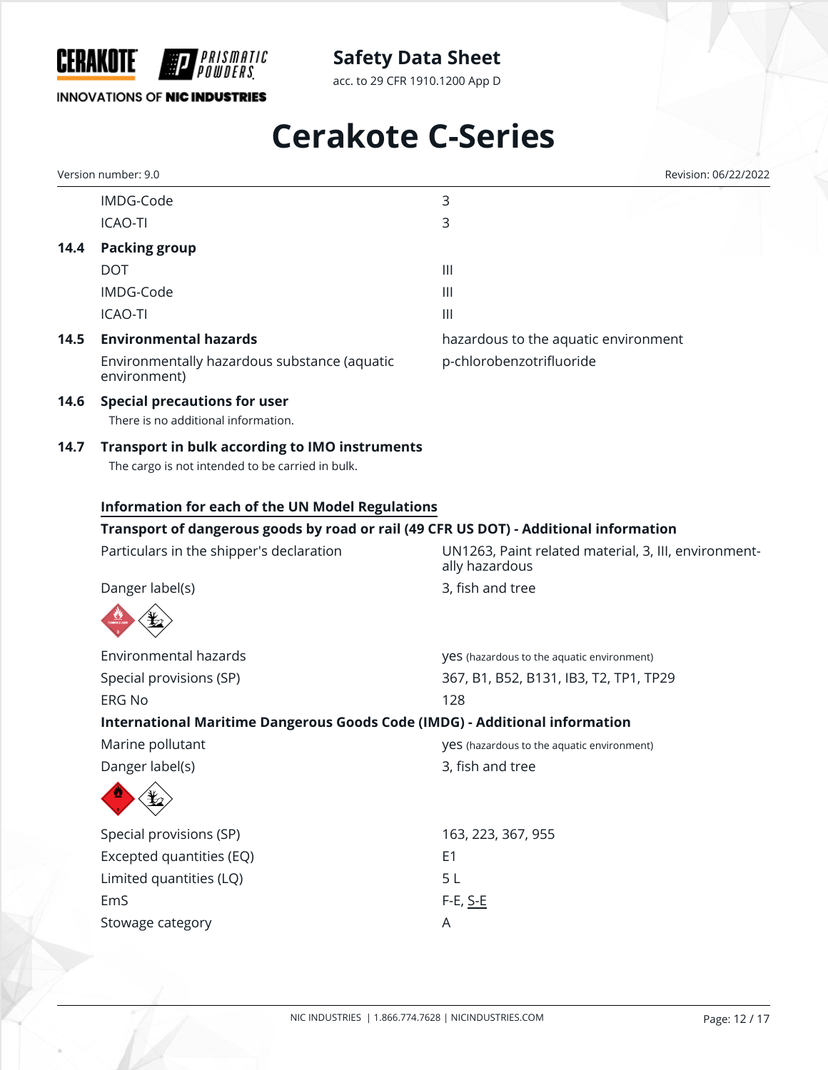

acc. to 29 CFR 1910.1200 App D

## **INNOVATIONS OF NIC INDUSTRIES**

# **Cerakote C-Series**

|      | Version number: 9.0                                                                                       | Revision: 06/22/2022                                                   |
|------|-----------------------------------------------------------------------------------------------------------|------------------------------------------------------------------------|
|      | IMDG-Code                                                                                                 | 3                                                                      |
|      | <b>ICAO-TI</b>                                                                                            | 3                                                                      |
| 14.4 | <b>Packing group</b>                                                                                      |                                                                        |
|      | <b>DOT</b>                                                                                                | $\mathbf{III}$                                                         |
|      | IMDG-Code                                                                                                 | $\mathbf{III}$                                                         |
|      | <b>ICAO-TI</b>                                                                                            | $\mathbf{III}$                                                         |
| 14.5 | <b>Environmental hazards</b>                                                                              | hazardous to the aquatic environment                                   |
|      | Environmentally hazardous substance (aquatic<br>environment)                                              | p-chlorobenzotrifluoride                                               |
| 14.6 | <b>Special precautions for user</b>                                                                       |                                                                        |
|      | There is no additional information.                                                                       |                                                                        |
| 14.7 | <b>Transport in bulk according to IMO instruments</b><br>The cargo is not intended to be carried in bulk. |                                                                        |
|      | <b>Information for each of the UN Model Regulations</b>                                                   |                                                                        |
|      | Transport of dangerous goods by road or rail (49 CFR US DOT) - Additional information                     |                                                                        |
|      | Particulars in the shipper's declaration                                                                  | UN1263, Paint related material, 3, III, environment-<br>ally hazardous |
|      | Danger label(s)                                                                                           | 3, fish and tree                                                       |
|      |                                                                                                           |                                                                        |
|      | Environmental hazards                                                                                     | yes (hazardous to the aquatic environment)                             |
|      | Special provisions (SP)                                                                                   | 367, B1, B52, B131, IB3, T2, TP1, TP29                                 |
|      | <b>ERG No</b>                                                                                             | 128                                                                    |
|      | International Maritime Dangerous Goods Code (IMDG) - Additional information                               |                                                                        |
|      | Marine pollutant                                                                                          | <b>yes</b> (hazardous to the aquatic environment)                      |
|      | Danger label(s)                                                                                           | 3, fish and tree                                                       |
|      |                                                                                                           |                                                                        |
|      | Special provisions (SP)                                                                                   | 163, 223, 367, 955                                                     |
|      | Excepted quantities (EQ)                                                                                  | E <sub>1</sub>                                                         |
|      | Limited quantities (LQ)                                                                                   | 5L                                                                     |
|      | EmS                                                                                                       | $F-E$ , $S-E$                                                          |
|      | Stowage category                                                                                          | A                                                                      |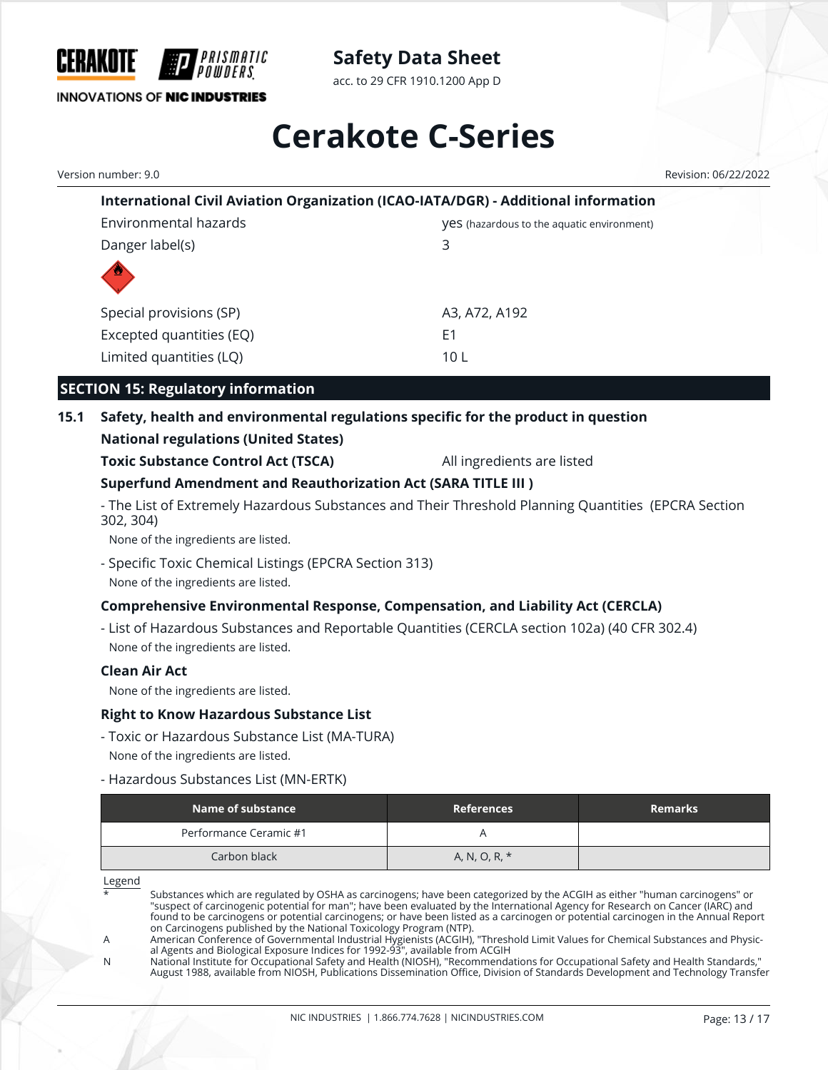

acc. to 29 CFR 1910.1200 App D

# **Cerakote C-Series**

Version number: 9.0 Revision: 06/22/2022

| International Civil Aviation Organization (ICAO-IATA/DGR) - Additional information |                                                   |  |
|------------------------------------------------------------------------------------|---------------------------------------------------|--|
| Environmental hazards                                                              | <b>VeS</b> (hazardous to the aquatic environment) |  |
| Danger label(s)                                                                    | 3                                                 |  |
|                                                                                    |                                                   |  |
| Special provisions (SP)                                                            | A3, A72, A192                                     |  |
| Excepted quantities (EQ)                                                           | E1                                                |  |
| Limited quantities (LQ)                                                            | 10 L                                              |  |

## **SECTION 15: Regulatory information**

# **15.1 Safety, health and environmental regulations specific for the product in question**

## **National regulations (United States)**

**Toxic Substance Control Act (TSCA)** All ingredients are listed

## **Superfund Amendment and Reauthorization Act (SARA TITLE III )**

- The List of Extremely Hazardous Substances and Their Threshold Planning Quantities (EPCRA Section 302, 304)

None of the ingredients are listed.

- Specific Toxic Chemical Listings (EPCRA Section 313) None of the ingredients are listed.

## **Comprehensive Environmental Response, Compensation, and Liability Act (CERCLA)**

- List of Hazardous Substances and Reportable Quantities (CERCLA section 102a) (40 CFR 302.4) None of the ingredients are listed.

#### **Clean Air Act**

None of the ingredients are listed.

#### **Right to Know Hazardous Substance List**

- Toxic or Hazardous Substance List (MA-TURA) None of the ingredients are listed.
- Hazardous Substances List (MN-ERTK)

| Name of substance      | <b>References</b> | <b>Remarks</b> |
|------------------------|-------------------|----------------|
| Performance Ceramic #1 |                   |                |
| Carbon black           | A, N, O, R, *     |                |

Legend

Substances which are regulated by OSHA as carcinogens; have been categorized by the ACGIH as either "human carcinogens" or "suspect of carcinogenic potential for man"; have been evaluated by the International Agency for Research on Cancer (IARC) and found to be carcinogens or potential carcinogens; or have been listed as a carcinogen or potential carcinogen in the Annual Report on Carcinogens published by the National Toxicology Program (NTP).

N National Institute for Occupational Safety and Health (NIOSH), "Recommendations for Occupational Safety and Health Standards," August 1988, available from NIOSH, Publications Dissemination Office, Division of Standards Development and Technology Transfer

A American Conference of Governmental Industrial Hygienists (ACGIH), "Threshold Limit Values for Chemical Substances and Physical Agents and Biological Exposure Indices for 1992-93", available from ACGIH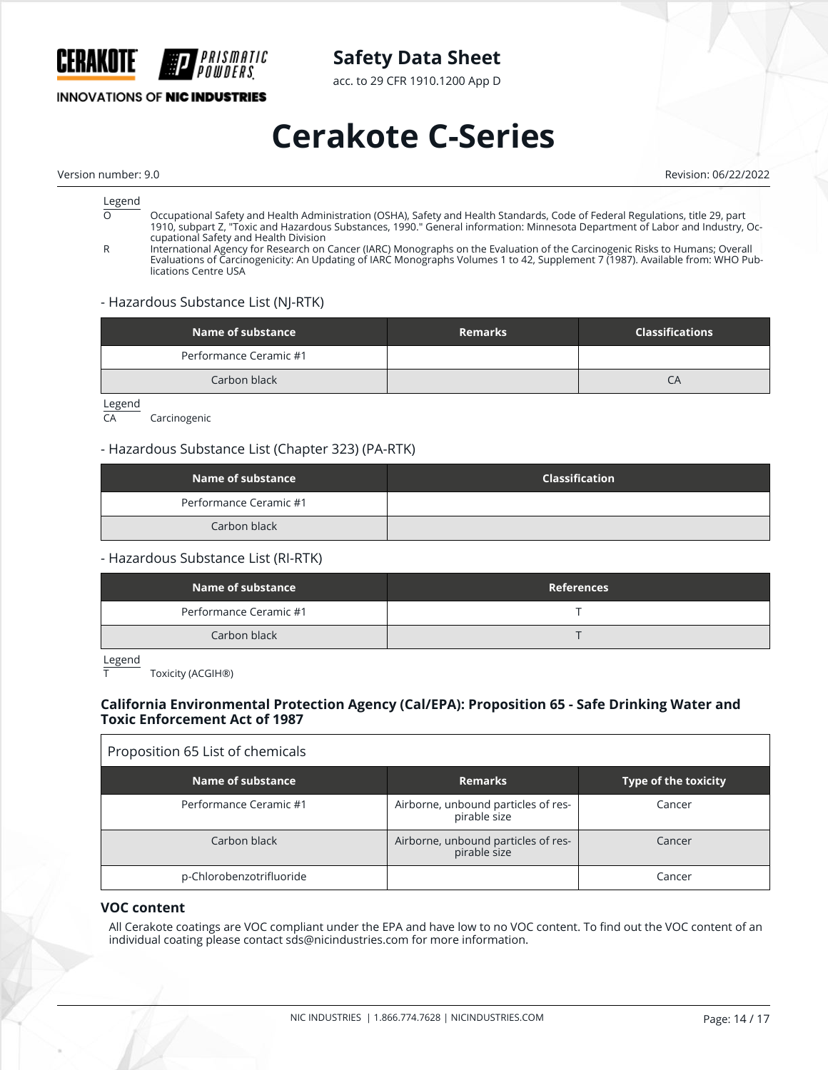

acc. to 29 CFR 1910.1200 App D

## **INNOVATIONS OF NIC INDUSTRIES**

# **Cerakote C-Series**

Version number: 9.0 Revision: 06/22/2022

# $rac{\text{Legend}}{\Omega}$

- O Occupational Safety and Health Administration (OSHA), Safety and Health Standards, Code of Federal Regulations, title 29, part 1910, subpart Z, "Toxic and Hazardous Substances, 1990." General information: Minnesota Department of Labor and Industry, Occupational Safety and Health Division
- R International Agency for Research on Cancer (IARC) Monographs on the Evaluation of the Carcinogenic Risks to Humans; Overall Evaluations of Carcinogenicity: An Updating of IARC Monographs Volumes 1 to 42, Supplement 7 (1987). Available from: WHO Publications Centre USA

#### - Hazardous Substance List (NJ-RTK)

| Name of substance      | <b>Remarks</b> | <b>Classifications</b> |
|------------------------|----------------|------------------------|
| Performance Ceramic #1 |                |                        |
| Carbon black           |                | CΑ                     |

Legend<br>CA

Carcinogenic

#### - Hazardous Substance List (Chapter 323) (PA-RTK)

| Name of substance      | <b>Classification</b> |
|------------------------|-----------------------|
| Performance Ceramic #1 |                       |
| Carbon black           |                       |

#### - Hazardous Substance List (RI-RTK)

| Name of substance      | <b>References</b> |
|------------------------|-------------------|
| Performance Ceramic #1 |                   |
| Carbon black           |                   |

Legend

Toxicity (ACGIH®)

#### **California Environmental Protection Agency (Cal/EPA): Proposition 65 - Safe Drinking Water and Toxic Enforcement Act of 1987**

# Proposition 65 List of chemicals

| Name of substance        | <b>Remarks</b>                                      | <b>Type of the toxicity</b> |
|--------------------------|-----------------------------------------------------|-----------------------------|
| Performance Ceramic #1   | Airborne, unbound particles of res-<br>pirable size | Cancer                      |
| Carbon black             | Airborne, unbound particles of res-<br>pirable size | Cancer                      |
| p-Chlorobenzotrifluoride |                                                     | Cancer                      |

#### **VOC content**

All Cerakote coatings are VOC compliant under the EPA and have low to no VOC content. To find out the VOC content of an individual coating please contact sds@nicindustries.com for more information.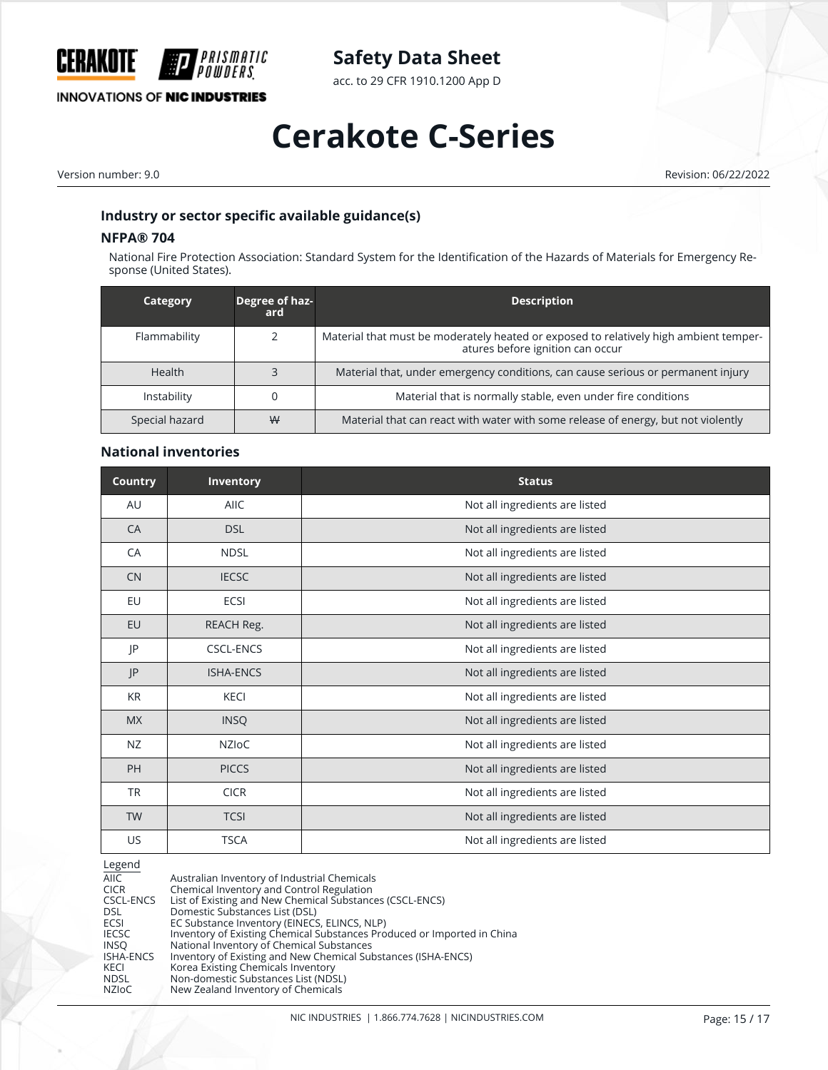

acc. to 29 CFR 1910.1200 App D

## **INNOVATIONS OF NIC INDUSTRIES**

# **Cerakote C-Series**

Version number: 9.0 Revision: 06/22/2022

### **Industry or sector specific available guidance(s)**

#### **NFPA® 704**

National Fire Protection Association: Standard System for the Identification of the Hazards of Materials for Emergency Response (United States).

| Category       | Degree of haz-<br>ard | <b>Description</b>                                                                                                        |
|----------------|-----------------------|---------------------------------------------------------------------------------------------------------------------------|
| Flammability   |                       | Material that must be moderately heated or exposed to relatively high ambient temper-<br>atures before ignition can occur |
| <b>Health</b>  |                       | Material that, under emergency conditions, can cause serious or permanent injury                                          |
| Instability    |                       | Material that is normally stable, even under fire conditions                                                              |
| Special hazard | ₩                     | Material that can react with water with some release of energy, but not violently                                         |

#### **National inventories**

| <b>Country</b> | Inventory        | <b>Status</b>                  |
|----------------|------------------|--------------------------------|
| AU             | <b>AIIC</b>      | Not all ingredients are listed |
| CA             | <b>DSL</b>       | Not all ingredients are listed |
| CA             | <b>NDSL</b>      | Not all ingredients are listed |
| <b>CN</b>      | <b>IECSC</b>     | Not all ingredients are listed |
| EU             | <b>ECSI</b>      | Not all ingredients are listed |
| EU             | REACH Reg.       | Not all ingredients are listed |
| JP             | <b>CSCL-ENCS</b> | Not all ingredients are listed |
| JP             | <b>ISHA-ENCS</b> | Not all ingredients are listed |
| <b>KR</b>      | <b>KECI</b>      | Not all ingredients are listed |
| <b>MX</b>      | <b>INSQ</b>      | Not all ingredients are listed |
| <b>NZ</b>      | <b>NZIOC</b>     | Not all ingredients are listed |
| PH             | <b>PICCS</b>     | Not all ingredients are listed |
| <b>TR</b>      | <b>CICR</b>      | Not all ingredients are listed |
| <b>TW</b>      | <b>TCSI</b>      | Not all ingredients are listed |
| <b>US</b>      | <b>TSCA</b>      | Not all ingredients are listed |

#### Legend

| AIIC             | Australian Inventory of Industrial Chemicals                            |
|------------------|-------------------------------------------------------------------------|
| <b>CICR</b>      | Chemical Inventory and Control Regulation                               |
| CSCL-ENCS        | List of Existing and New Chemical Substances (CSCL-ENCS)                |
| <b>DSL</b>       | Domestic Substances List (DSL)                                          |
| ECSI             | EC Substance Inventory (EINECS, ELINCS, NLP)                            |
| <b>IECSC</b>     | Inventory of Existing Chemical Substances Produced or Imported in China |
| <b>INSO</b>      | National Inventory of Chemical Substances                               |
| <b>ISHA-ENCS</b> | Inventory of Existing and New Chemical Substances (ISHA-ENCS)           |
| KECI             | Korea Existing Chemicals Inventory                                      |
| <b>NDSL</b>      | Non-domestic Substances List (NDSL)                                     |
| <b>NZIOC</b>     | New Zealand Inventory of Chemicals                                      |
|                  |                                                                         |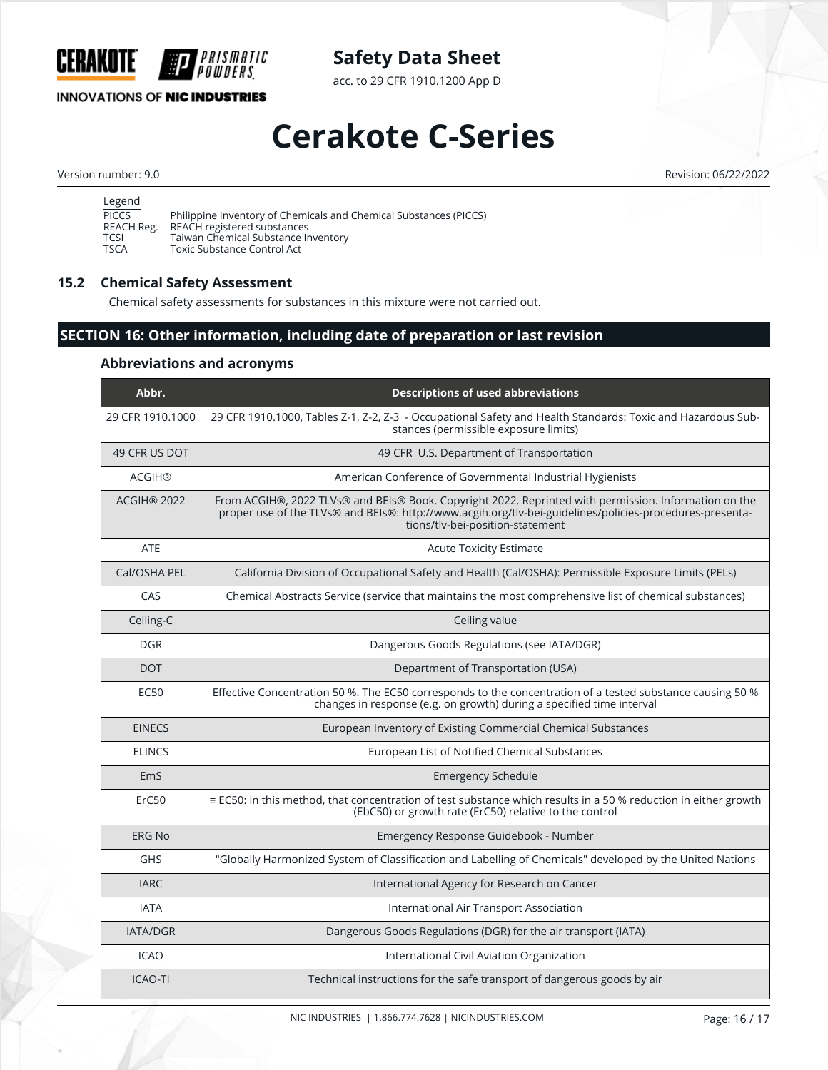

acc. to 29 CFR 1910.1200 App D

## **INNOVATIONS OF NIC INDUSTRIES**

# **Cerakote C-Series**

Version number: 9.0 Revision: 06/22/2022

| Legend       |                                                                   |
|--------------|-------------------------------------------------------------------|
| <b>PICCS</b> | Philippine Inventory of Chemicals and Chemical Substances (PICCS) |
| REACH Reg.   | REACH registered substances                                       |
| TCSI         | Taiwan Chemical Substance Inventory                               |
| TSCA         | Toxic Substance Control Act                                       |

#### **15.2 Chemical Safety Assessment**

Chemical safety assessments for substances in this mixture were not carried out.

## **SECTION 16: Other information, including date of preparation or last revision**

#### **Abbreviations and acronyms**

| Abbr.              | <b>Descriptions of used abbreviations</b>                                                                                                                                                                                                             |
|--------------------|-------------------------------------------------------------------------------------------------------------------------------------------------------------------------------------------------------------------------------------------------------|
| 29 CFR 1910.1000   | 29 CFR 1910.1000, Tables Z-1, Z-2, Z-3 - Occupational Safety and Health Standards: Toxic and Hazardous Sub-<br>stances (permissible exposure limits)                                                                                                  |
| 49 CFR US DOT      | 49 CFR U.S. Department of Transportation                                                                                                                                                                                                              |
| <b>ACGIH®</b>      | American Conference of Governmental Industrial Hygienists                                                                                                                                                                                             |
| <b>ACGIH® 2022</b> | From ACGIH®, 2022 TLVs® and BEIs® Book. Copyright 2022. Reprinted with permission. Information on the<br>proper use of the TLVs® and BEIs®: http://www.acgih.org/tlv-bei-guidelines/policies-procedures-presenta-<br>tions/tlv-bei-position-statement |
| <b>ATE</b>         | <b>Acute Toxicity Estimate</b>                                                                                                                                                                                                                        |
| Cal/OSHA PEL       | California Division of Occupational Safety and Health (Cal/OSHA): Permissible Exposure Limits (PELs)                                                                                                                                                  |
| CAS                | Chemical Abstracts Service (service that maintains the most comprehensive list of chemical substances)                                                                                                                                                |
| Ceiling-C          | Ceiling value                                                                                                                                                                                                                                         |
| <b>DGR</b>         | Dangerous Goods Regulations (see IATA/DGR)                                                                                                                                                                                                            |
| <b>DOT</b>         | Department of Transportation (USA)                                                                                                                                                                                                                    |
| <b>EC50</b>        | Effective Concentration 50 %. The EC50 corresponds to the concentration of a tested substance causing 50 %<br>changes in response (e.g. on growth) during a specified time interval                                                                   |
| <b>EINECS</b>      | European Inventory of Existing Commercial Chemical Substances                                                                                                                                                                                         |
| <b>ELINCS</b>      | European List of Notified Chemical Substances                                                                                                                                                                                                         |
| EmS                | <b>Emergency Schedule</b>                                                                                                                                                                                                                             |
| ErC50              | ≡ EC50: in this method, that concentration of test substance which results in a 50 % reduction in either growth<br>(EbC50) or growth rate (ErC50) relative to the control                                                                             |
| <b>ERG No</b>      | Emergency Response Guidebook - Number                                                                                                                                                                                                                 |
| <b>GHS</b>         | "Globally Harmonized System of Classification and Labelling of Chemicals" developed by the United Nations                                                                                                                                             |
| <b>IARC</b>        | International Agency for Research on Cancer                                                                                                                                                                                                           |
| <b>IATA</b>        | International Air Transport Association                                                                                                                                                                                                               |
| <b>IATA/DGR</b>    | Dangerous Goods Regulations (DGR) for the air transport (IATA)                                                                                                                                                                                        |
| <b>ICAO</b>        | International Civil Aviation Organization                                                                                                                                                                                                             |
| <b>ICAO-TI</b>     | Technical instructions for the safe transport of dangerous goods by air                                                                                                                                                                               |